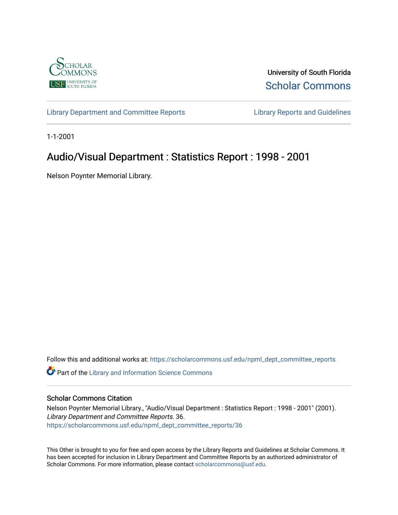

University of South Florida [Scholar Commons](https://scholarcommons.usf.edu/) 

[Library Department and Committee Reports](https://scholarcommons.usf.edu/npml_dept_committee_reports) [Library Reports and Guidelines](https://scholarcommons.usf.edu/npml_reports_guidelines_instruct_materials) 

1-1-2001

## Audio/Visual Department : Statistics Report : 1998 - 2001

Nelson Poynter Memorial Library.

Follow this and additional works at: [https://scholarcommons.usf.edu/npml\\_dept\\_committee\\_reports](https://scholarcommons.usf.edu/npml_dept_committee_reports?utm_source=scholarcommons.usf.edu%2Fnpml_dept_committee_reports%2F36&utm_medium=PDF&utm_campaign=PDFCoverPages)

Part of the [Library and Information Science Commons](http://network.bepress.com/hgg/discipline/1018?utm_source=scholarcommons.usf.edu%2Fnpml_dept_committee_reports%2F36&utm_medium=PDF&utm_campaign=PDFCoverPages) 

## Scholar Commons Citation

Nelson Poynter Memorial Library., "Audio/Visual Department : Statistics Report : 1998 - 2001" (2001). Library Department and Committee Reports. 36. [https://scholarcommons.usf.edu/npml\\_dept\\_committee\\_reports/36](https://scholarcommons.usf.edu/npml_dept_committee_reports/36?utm_source=scholarcommons.usf.edu%2Fnpml_dept_committee_reports%2F36&utm_medium=PDF&utm_campaign=PDFCoverPages) 

This Other is brought to you for free and open access by the Library Reports and Guidelines at Scholar Commons. It has been accepted for inclusion in Library Department and Committee Reports by an authorized administrator of Scholar Commons. For more information, please contact [scholarcommons@usf.edu](mailto:scholarcommons@usf.edu).